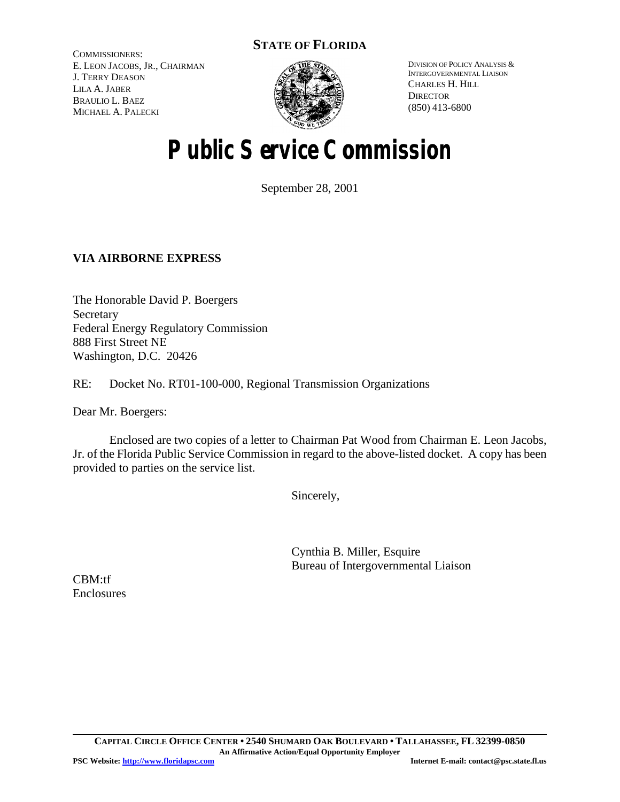### **STATE OF FLORIDA**

COMMISSIONERS: E. LEON JACOBS, JR., CHAIRMAN J. TERRY DEASON LILA A. JABER BRAULIO L. BAEZ MICHAEL A. PALECKI



DIVISION OF POLICY ANALYSIS & INTERGOVERNMENTAL LIAISON CHARLES H. HILL **DIRECTOR** (850) 413-6800

# **Public Service Commission**

September 28, 2001

### **VIA AIRBORNE EXPRESS**

The Honorable David P. Boergers **Secretary** Federal Energy Regulatory Commission 888 First Street NE Washington, D.C. 20426

RE: Docket No. RT01-100-000, Regional Transmission Organizations

Dear Mr. Boergers:

Enclosed are two copies of a letter to Chairman Pat Wood from Chairman E. Leon Jacobs, Jr. of the Florida Public Service Commission in regard to the above-listed docket. A copy has been provided to parties on the service list.

Sincerely,

Cynthia B. Miller, Esquire Bureau of Intergovernmental Liaison

CBM:tf **Enclosures**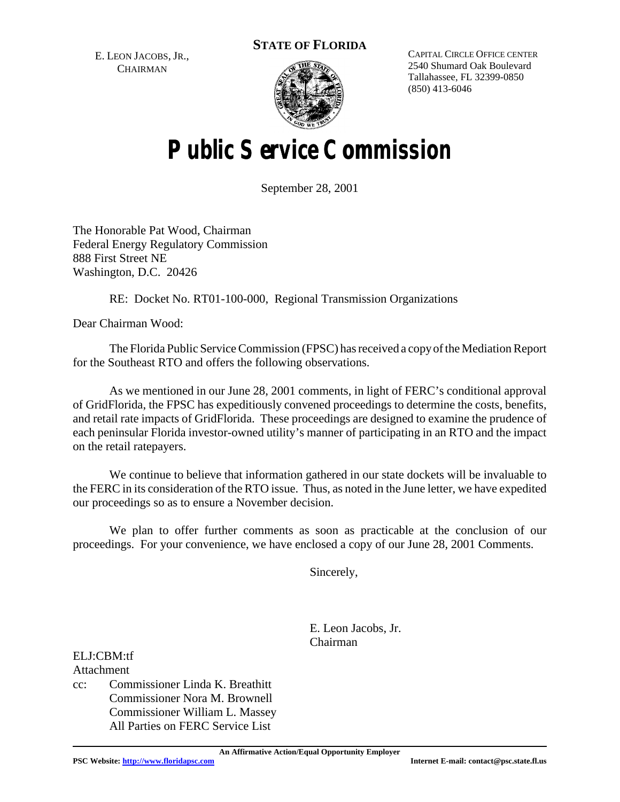**STATE OF FLORIDA**

E. LEON JACOBS, JR., **CHAIRMAN** 



CAPITAL CIRCLE OFFICE CENTER 2540 Shumard Oak Boulevard Tallahassee, FL 32399-0850 (850) 413-6046

# **Public Service Commission**

September 28, 2001

The Honorable Pat Wood, Chairman Federal Energy Regulatory Commission 888 First Street NE Washington, D.C. 20426

RE: Docket No. RT01-100-000, Regional Transmission Organizations

Dear Chairman Wood:

The Florida Public Service Commission (FPSC) has received a copy of the Mediation Report for the Southeast RTO and offers the following observations.

As we mentioned in our June 28, 2001 comments, in light of FERC's conditional approval of GridFlorida, the FPSC has expeditiously convened proceedings to determine the costs, benefits, and retail rate impacts of GridFlorida. These proceedings are designed to examine the prudence of each peninsular Florida investor-owned utility's manner of participating in an RTO and the impact on the retail ratepayers.

We continue to believe that information gathered in our state dockets will be invaluable to the FERC in its consideration of the RTO issue. Thus, as noted in the June letter, we have expedited our proceedings so as to ensure a November decision.

We plan to offer further comments as soon as practicable at the conclusion of our proceedings. For your convenience, we have enclosed a copy of our June 28, 2001 Comments.

Sincerely,

E. Leon Jacobs, Jr. Chairman

Attachment cc: Commissioner Linda K. Breathitt Commissioner Nora M. Brownell Commissioner William L. Massey All Parties on FERC Service List

**An Affirmative Action/Equal Opportunity Employer**

ELJ:CBM:tf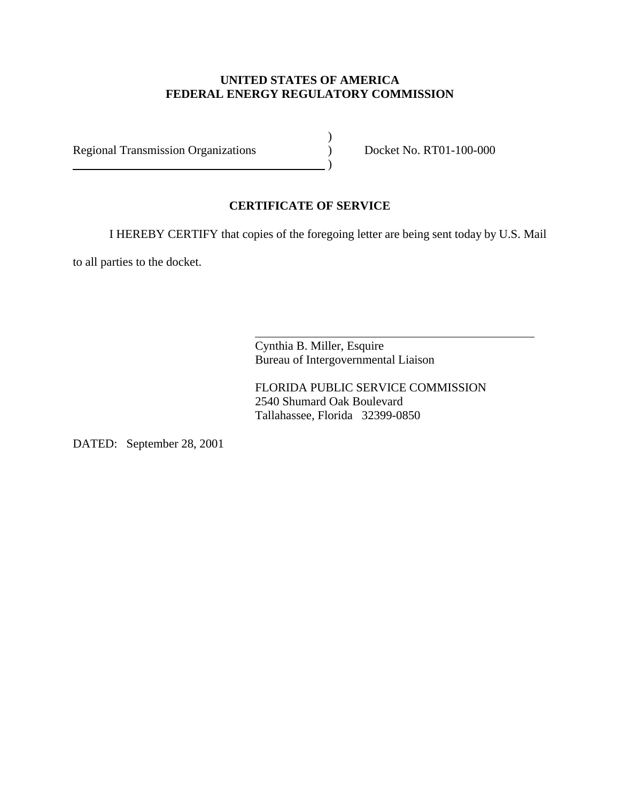#### **UNITED STATES OF AMERICA FEDERAL ENERGY REGULATORY COMMISSION**

Regional Transmission Organizations (a) Docket No. RT01-100-000

 $\overline{\phantom{a}}\phantom{a}$ 

### **CERTIFICATE OF SERVICE**

 $\overline{a}$ 

I HEREBY CERTIFY that copies of the foregoing letter are being sent today by U.S. Mail

)

to all parties to the docket.

Cynthia B. Miller, Esquire Bureau of Intergovernmental Liaison

FLORIDA PUBLIC SERVICE COMMISSION 2540 Shumard Oak Boulevard Tallahassee, Florida 32399-0850

DATED: September 28, 2001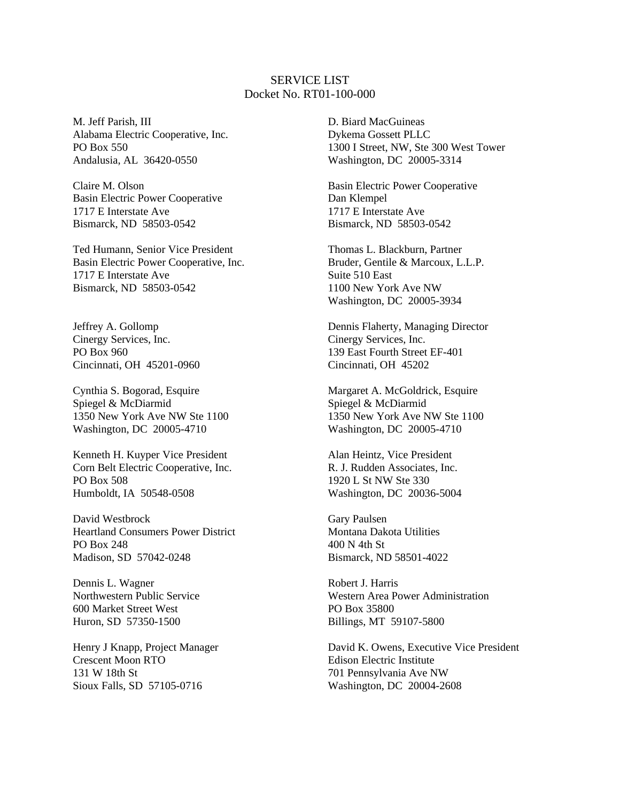#### SERVICE LIST Docket No. RT01-100-000

M. Jeff Parish, III Alabama Electric Cooperative, Inc. PO Box 550 Andalusia, AL 36420-0550

Claire M. Olson Basin Electric Power Cooperative 1717 E Interstate Ave Bismarck, ND 58503-0542

Ted Humann, Senior Vice President Basin Electric Power Cooperative, Inc. 1717 E Interstate Ave Bismarck, ND 58503-0542

Jeffrey A. Gollomp Cinergy Services, Inc. PO Box 960 Cincinnati, OH 45201-0960

Cynthia S. Bogorad, Esquire Spiegel & McDiarmid 1350 New York Ave NW Ste 1100 Washington, DC 20005-4710

Kenneth H. Kuyper Vice President Corn Belt Electric Cooperative, Inc. PO Box 508 Humboldt, IA 50548-0508

David Westbrock Heartland Consumers Power District PO Box 248 Madison, SD 57042-0248

Dennis L. Wagner Northwestern Public Service 600 Market Street West Huron, SD 57350-1500

Henry J Knapp, Project Manager Crescent Moon RTO 131 W 18th St Sioux Falls, SD 57105-0716

D. Biard MacGuineas Dykema Gossett PLLC 1300 I Street, NW, Ste 300 West Tower Washington, DC 20005-3314

Basin Electric Power Cooperative Dan Klempel 1717 E Interstate Ave Bismarck, ND 58503-0542

Thomas L. Blackburn, Partner Bruder, Gentile & Marcoux, L.L.P. Suite 510 East 1100 New York Ave NW Washington, DC 20005-3934

Dennis Flaherty, Managing Director Cinergy Services, Inc. 139 East Fourth Street EF-401 Cincinnati, OH 45202

Margaret A. McGoldrick, Esquire Spiegel & McDiarmid 1350 New York Ave NW Ste 1100 Washington, DC 20005-4710

Alan Heintz, Vice President R. J. Rudden Associates, Inc. 1920 L St NW Ste 330 Washington, DC 20036-5004

Gary Paulsen Montana Dakota Utilities 400 N 4th St Bismarck, ND 58501-4022

Robert J. Harris Western Area Power Administration PO Box 35800 Billings, MT 59107-5800

David K. Owens, Executive Vice President Edison Electric Institute 701 Pennsylvania Ave NW Washington, DC 20004-2608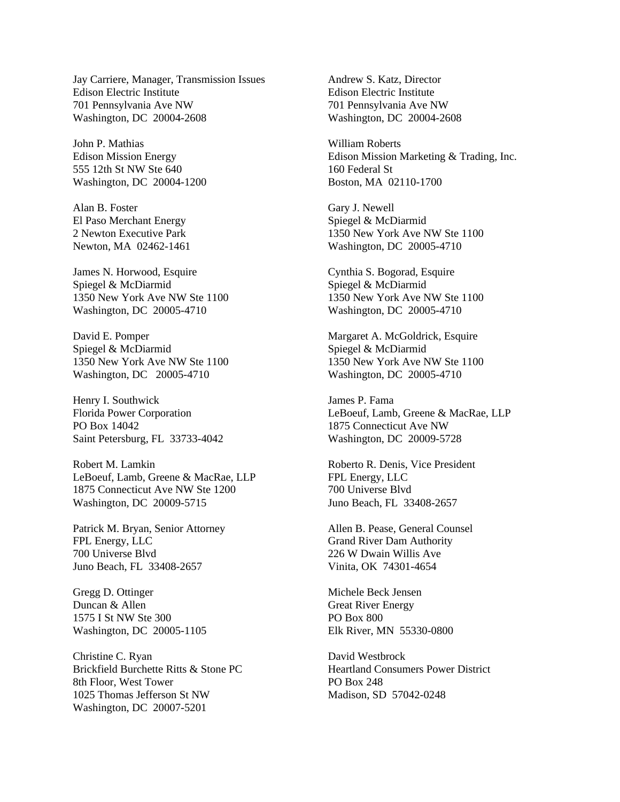Jay Carriere, Manager, Transmission Issues Edison Electric Institute 701 Pennsylvania Ave NW Washington, DC 20004-2608

John P. Mathias Edison Mission Energy 555 12th St NW Ste 640 Washington, DC 20004-1200

Alan B. Foster El Paso Merchant Energy 2 Newton Executive Park Newton, MA 02462-1461

James N. Horwood, Esquire Spiegel & McDiarmid 1350 New York Ave NW Ste 1100 Washington, DC 20005-4710

David E. Pomper Spiegel & McDiarmid 1350 New York Ave NW Ste 1100 Washington, DC 20005-4710

Henry I. Southwick Florida Power Corporation PO Box 14042 Saint Petersburg, FL 33733-4042

Robert M. Lamkin LeBoeuf, Lamb, Greene & MacRae, LLP 1875 Connecticut Ave NW Ste 1200 Washington, DC 20009-5715

Patrick M. Bryan, Senior Attorney FPL Energy, LLC 700 Universe Blvd Juno Beach, FL 33408-2657

Gregg D. Ottinger Duncan & Allen 1575 I St NW Ste 300 Washington, DC 20005-1105

Christine C. Ryan Brickfield Burchette Ritts & Stone PC 8th Floor, West Tower 1025 Thomas Jefferson St NW Washington, DC 20007-5201

Andrew S. Katz, Director Edison Electric Institute 701 Pennsylvania Ave NW Washington, DC 20004-2608

William Roberts Edison Mission Marketing & Trading, Inc. 160 Federal St Boston, MA 02110-1700

Gary J. Newell Spiegel & McDiarmid 1350 New York Ave NW Ste 1100 Washington, DC 20005-4710

Cynthia S. Bogorad, Esquire Spiegel & McDiarmid 1350 New York Ave NW Ste 1100 Washington, DC 20005-4710

Margaret A. McGoldrick, Esquire Spiegel & McDiarmid 1350 New York Ave NW Ste 1100 Washington, DC 20005-4710

James P. Fama LeBoeuf, Lamb, Greene & MacRae, LLP 1875 Connecticut Ave NW Washington, DC 20009-5728

Roberto R. Denis, Vice President FPL Energy, LLC 700 Universe Blvd Juno Beach, FL 33408-2657

Allen B. Pease, General Counsel Grand River Dam Authority 226 W Dwain Willis Ave Vinita, OK 74301-4654

Michele Beck Jensen Great River Energy PO Box 800 Elk River, MN 55330-0800

David Westbrock Heartland Consumers Power District PO Box 248 Madison, SD 57042-0248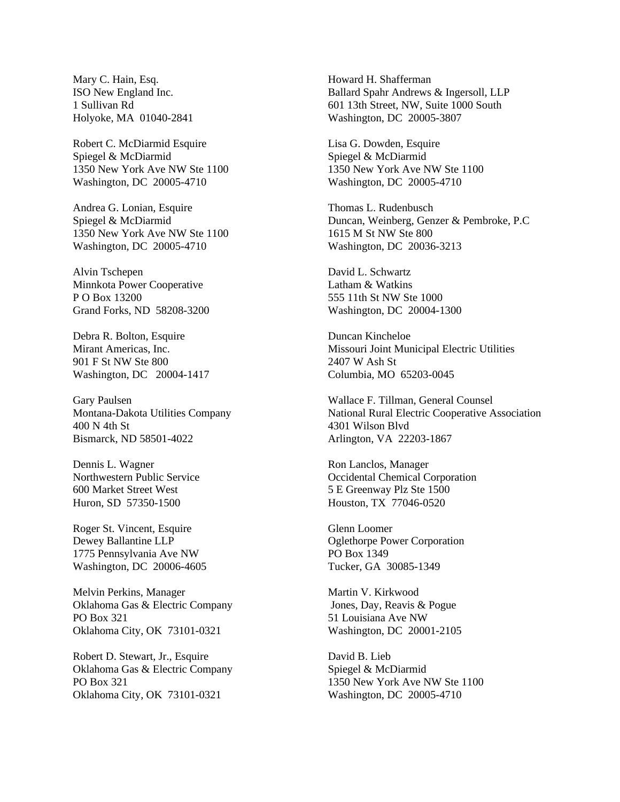Mary C. Hain, Esq. ISO New England Inc. 1 Sullivan Rd Holyoke, MA 01040-2841

Robert C. McDiarmid Esquire Spiegel & McDiarmid 1350 New York Ave NW Ste 1100 Washington, DC 20005-4710

Andrea G. Lonian, Esquire Spiegel & McDiarmid 1350 New York Ave NW Ste 1100 Washington, DC 20005-4710

Alvin Tschepen Minnkota Power Cooperative P O Box 13200 Grand Forks, ND 58208-3200

Debra R. Bolton, Esquire Mirant Americas, Inc. 901 F St NW Ste 800 Washington, DC 20004-1417

Gary Paulsen Montana-Dakota Utilities Company 400 N 4th St Bismarck, ND 58501-4022

Dennis L. Wagner Northwestern Public Service 600 Market Street West Huron, SD 57350-1500

Roger St. Vincent, Esquire Dewey Ballantine LLP 1775 Pennsylvania Ave NW Washington, DC 20006-4605

Melvin Perkins, Manager Oklahoma Gas & Electric Company PO Box 321 Oklahoma City, OK 73101-0321

Robert D. Stewart, Jr., Esquire Oklahoma Gas & Electric Company PO Box 321 Oklahoma City, OK 73101-0321

Howard H. Shafferman Ballard Spahr Andrews & Ingersoll, LLP 601 13th Street, NW, Suite 1000 South Washington, DC 20005-3807

Lisa G. Dowden, Esquire Spiegel & McDiarmid 1350 New York Ave NW Ste 1100 Washington, DC 20005-4710

Thomas L. Rudenbusch Duncan, Weinberg, Genzer & Pembroke, P.C 1615 M St NW Ste 800 Washington, DC 20036-3213

David L. Schwartz Latham & Watkins 555 11th St NW Ste 1000 Washington, DC 20004-1300

Duncan Kincheloe Missouri Joint Municipal Electric Utilities 2407 W Ash St Columbia, MO 65203-0045

Wallace F. Tillman, General Counsel National Rural Electric Cooperative Association 4301 Wilson Blvd Arlington, VA 22203-1867

Ron Lanclos, Manager Occidental Chemical Corporation 5 E Greenway Plz Ste 1500 Houston, TX 77046-0520

Glenn Loomer Oglethorpe Power Corporation PO Box 1349 Tucker, GA 30085-1349

Martin V. Kirkwood Jones, Day, Reavis & Pogue 51 Louisiana Ave NW Washington, DC 20001-2105

David B. Lieb Spiegel & McDiarmid 1350 New York Ave NW Ste 1100 Washington, DC 20005-4710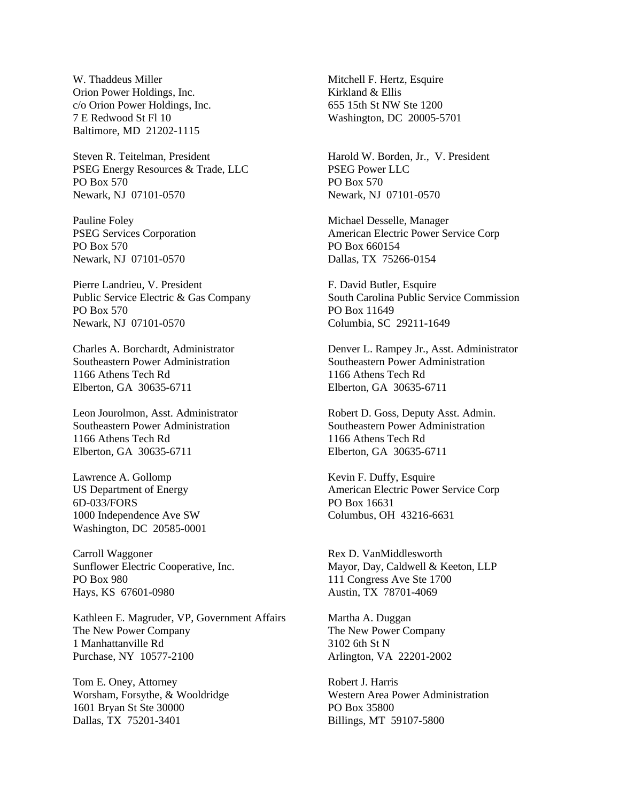W. Thaddeus Miller Orion Power Holdings, Inc. c/o Orion Power Holdings, Inc. 7 E Redwood St Fl 10 Baltimore, MD 21202-1115

Steven R. Teitelman, President PSEG Energy Resources & Trade, LLC PO Box 570 Newark, NJ 07101-0570

Pauline Foley PSEG Services Corporation PO Box 570 Newark, NJ 07101-0570

Pierre Landrieu, V. President Public Service Electric & Gas Company PO Box 570 Newark, NJ 07101-0570

Charles A. Borchardt, Administrator Southeastern Power Administration 1166 Athens Tech Rd Elberton, GA 30635-6711

Leon Jourolmon, Asst. Administrator Southeastern Power Administration 1166 Athens Tech Rd Elberton, GA 30635-6711

Lawrence A. Gollomp US Department of Energy 6D-033/FORS 1000 Independence Ave SW Washington, DC 20585-0001

Carroll Waggoner Sunflower Electric Cooperative, Inc. PO Box 980 Hays, KS 67601-0980

Kathleen E. Magruder, VP, Government Affairs The New Power Company 1 Manhattanville Rd Purchase, NY 10577-2100

Tom E. Oney, Attorney Worsham, Forsythe, & Wooldridge 1601 Bryan St Ste 30000 Dallas, TX 75201-3401

Mitchell F. Hertz, Esquire Kirkland & Ellis 655 15th St NW Ste 1200 Washington, DC 20005-5701

Harold W. Borden, Jr., V. President PSEG Power LLC PO Box 570 Newark, NJ 07101-0570

Michael Desselle, Manager American Electric Power Service Corp PO Box 660154 Dallas, TX 75266-0154

F. David Butler, Esquire South Carolina Public Service Commission PO Box 11649 Columbia, SC 29211-1649

Denver L. Rampey Jr., Asst. Administrator Southeastern Power Administration 1166 Athens Tech Rd Elberton, GA 30635-6711

Robert D. Goss, Deputy Asst. Admin. Southeastern Power Administration 1166 Athens Tech Rd Elberton, GA 30635-6711

Kevin F. Duffy, Esquire American Electric Power Service Corp PO Box 16631 Columbus, OH 43216-6631

Rex D. VanMiddlesworth Mayor, Day, Caldwell & Keeton, LLP 111 Congress Ave Ste 1700 Austin, TX 78701-4069

Martha A. Duggan The New Power Company 3102 6th St N Arlington, VA 22201-2002

Robert J. Harris Western Area Power Administration PO Box 35800 Billings, MT 59107-5800